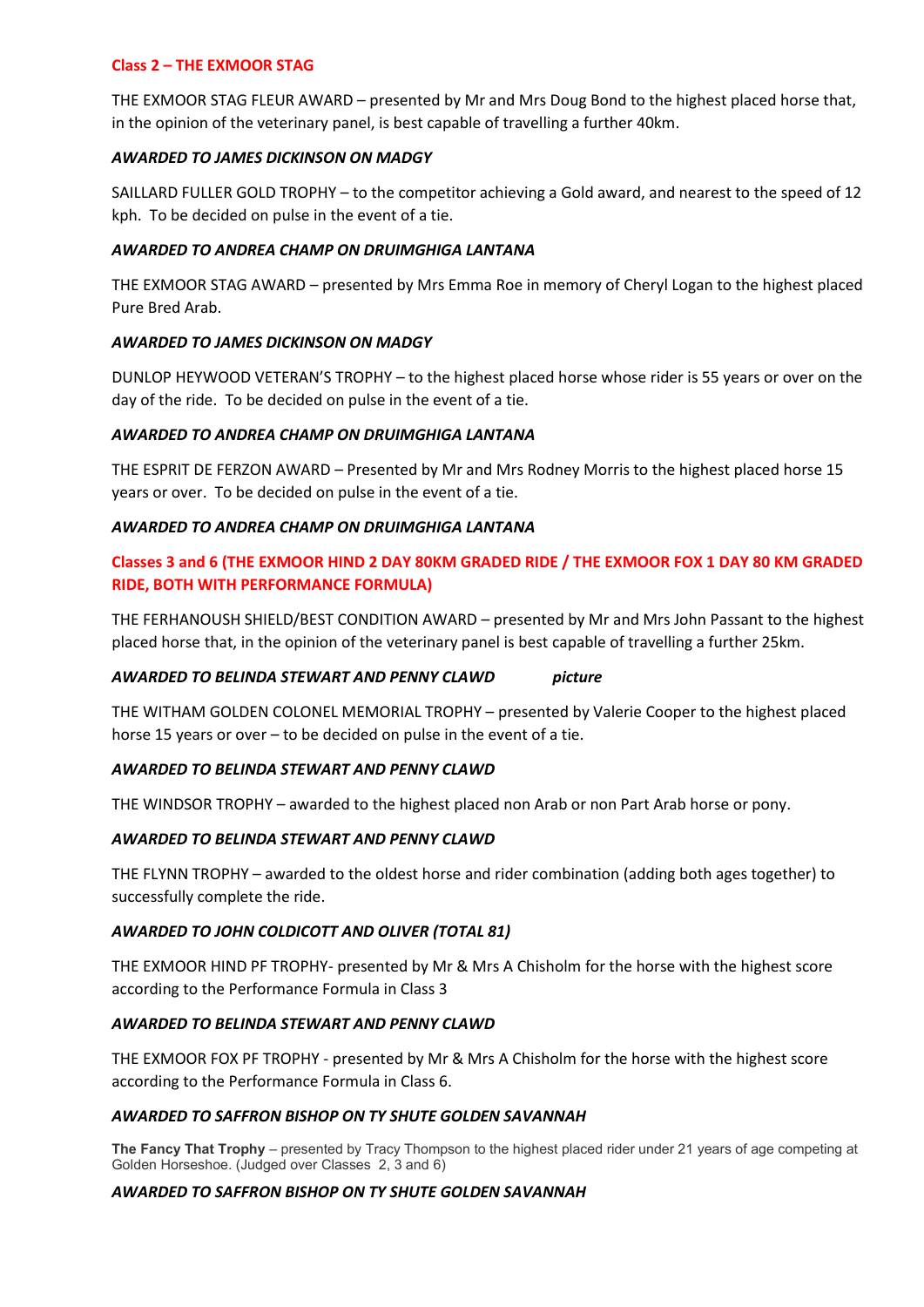# **Class 2 – THE EXMOOR STAG**

THE EXMOOR STAG FLEUR AWARD – presented by Mr and Mrs Doug Bond to the highest placed horse that, in the opinion of the veterinary panel, is best capable of travelling a further 40km.

# *AWARDED TO JAMES DICKINSON ON MADGY*

SAILLARD FULLER GOLD TROPHY – to the competitor achieving a Gold award, and nearest to the speed of 12 kph. To be decided on pulse in the event of a tie.

# *AWARDED TO ANDREA CHAMP ON DRUIMGHIGA LANTANA*

THE EXMOOR STAG AWARD – presented by Mrs Emma Roe in memory of Cheryl Logan to the highest placed Pure Bred Arab.

# *AWARDED TO JAMES DICKINSON ON MADGY*

DUNLOP HEYWOOD VETERAN'S TROPHY – to the highest placed horse whose rider is 55 years or over on the day of the ride. To be decided on pulse in the event of a tie.

# *AWARDED TO ANDREA CHAMP ON DRUIMGHIGA LANTANA*

THE ESPRIT DE FERZON AWARD – Presented by Mr and Mrs Rodney Morris to the highest placed horse 15 years or over. To be decided on pulse in the event of a tie.

# *AWARDED TO ANDREA CHAMP ON DRUIMGHIGA LANTANA*

# **Classes 3 and 6 (THE EXMOOR HIND 2 DAY 80KM GRADED RIDE / THE EXMOOR FOX 1 DAY 80 KM GRADED RIDE, BOTH WITH PERFORMANCE FORMULA)**

THE FERHANOUSH SHIELD/BEST CONDITION AWARD – presented by Mr and Mrs John Passant to the highest placed horse that, in the opinion of the veterinary panel is best capable of travelling a further 25km.

### *AWARDED TO BELINDA STEWART AND PENNY CLAWD picture*

THE WITHAM GOLDEN COLONEL MEMORIAL TROPHY – presented by Valerie Cooper to the highest placed horse 15 years or over – to be decided on pulse in the event of a tie.

### *AWARDED TO BELINDA STEWART AND PENNY CLAWD*

THE WINDSOR TROPHY – awarded to the highest placed non Arab or non Part Arab horse or pony.

### *AWARDED TO BELINDA STEWART AND PENNY CLAWD*

THE FLYNN TROPHY – awarded to the oldest horse and rider combination (adding both ages together) to successfully complete the ride.

### *AWARDED TO JOHN COLDICOTT AND OLIVER (TOTAL 81)*

THE EXMOOR HIND PF TROPHY- presented by Mr & Mrs A Chisholm for the horse with the highest score according to the Performance Formula in Class 3

### *AWARDED TO BELINDA STEWART AND PENNY CLAWD*

THE EXMOOR FOX PF TROPHY - presented by Mr & Mrs A Chisholm for the horse with the highest score according to the Performance Formula in Class 6.

### *AWARDED TO SAFFRON BISHOP ON TY SHUTE GOLDEN SAVANNAH*

**The Fancy That Trophy** – presented by Tracy Thompson to the highest placed rider under 21 years of age competing at Golden Horseshoe. (Judged over Classes 2, 3 and 6)

### *AWARDED TO SAFFRON BISHOP ON TY SHUTE GOLDEN SAVANNAH*